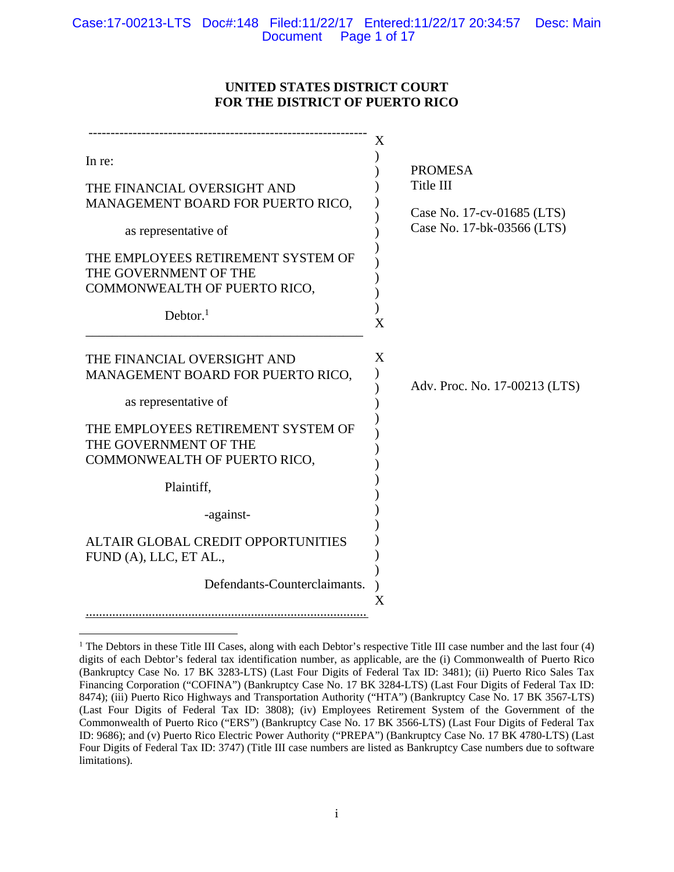# **UNITED STATES DISTRICT COURT FOR THE DISTRICT OF PUERTO RICO**

|                                                                                                                                                                                                        | X                                                                          |
|--------------------------------------------------------------------------------------------------------------------------------------------------------------------------------------------------------|----------------------------------------------------------------------------|
| In re:                                                                                                                                                                                                 | <b>PROMESA</b>                                                             |
| THE FINANCIAL OVERSIGHT AND<br>MANAGEMENT BOARD FOR PUERTO RICO,<br>as representative of<br>THE EMPLOYEES RETIREMENT SYSTEM OF<br>THE GOVERNMENT OF THE<br>COMMONWEALTH OF PUERTO RICO,<br>Debtor. $1$ | Title III<br>Case No. 17-cv-01685 (LTS)<br>Case No. 17-bk-03566 (LTS)<br>X |
| THE FINANCIAL OVERSIGHT AND<br>MANAGEMENT BOARD FOR PUERTO RICO,<br>as representative of<br>THE EMPLOYEES RETIREMENT SYSTEM OF<br>THE GOVERNMENT OF THE<br>COMMONWEALTH OF PUERTO RICO,                | X<br>Adv. Proc. No. 17-00213 (LTS)                                         |
| Plaintiff,                                                                                                                                                                                             |                                                                            |
| -against-                                                                                                                                                                                              |                                                                            |
| ALTAIR GLOBAL CREDIT OPPORTUNITIES<br>FUND (A), LLC, ET AL.,                                                                                                                                           |                                                                            |
| Defendants-Counterclaimants.                                                                                                                                                                           | Χ                                                                          |

 $\overline{a}$ <sup>1</sup> The Debtors in these Title III Cases, along with each Debtor's respective Title III case number and the last four (4) digits of each Debtor's federal tax identification number, as applicable, are the (i) Commonwealth of Puerto Rico (Bankruptcy Case No. 17 BK 3283-LTS) (Last Four Digits of Federal Tax ID: 3481); (ii) Puerto Rico Sales Tax Financing Corporation ("COFINA") (Bankruptcy Case No. 17 BK 3284-LTS) (Last Four Digits of Federal Tax ID: 8474); (iii) Puerto Rico Highways and Transportation Authority ("HTA") (Bankruptcy Case No. 17 BK 3567-LTS) (Last Four Digits of Federal Tax ID: 3808); (iv) Employees Retirement System of the Government of the Commonwealth of Puerto Rico ("ERS") (Bankruptcy Case No. 17 BK 3566-LTS) (Last Four Digits of Federal Tax ID: 9686); and (v) Puerto Rico Electric Power Authority ("PREPA") (Bankruptcy Case No. 17 BK 4780-LTS) (Last Four Digits of Federal Tax ID: 3747) (Title III case numbers are listed as Bankruptcy Case numbers due to software limitations).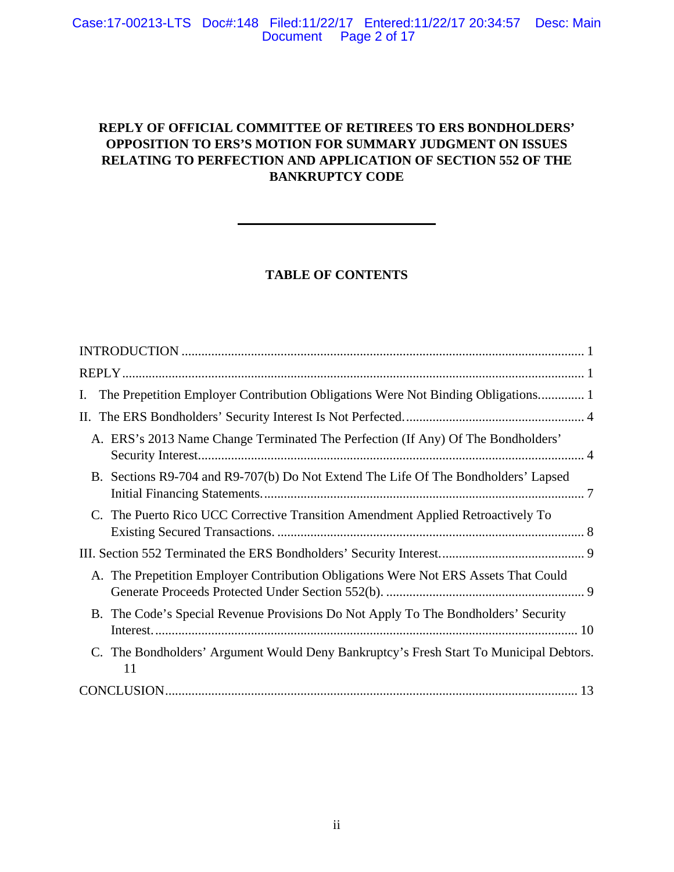# **REPLY OF OFFICIAL COMMITTEE OF RETIREES TO ERS BONDHOLDERS' OPPOSITION TO ERS'S MOTION FOR SUMMARY JUDGMENT ON ISSUES RELATING TO PERFECTION AND APPLICATION OF SECTION 552 OF THE BANKRUPTCY CODE**

# **TABLE OF CONTENTS**

| The Prepetition Employer Contribution Obligations Were Not Binding Obligations<br>Ι.         |
|----------------------------------------------------------------------------------------------|
|                                                                                              |
| A. ERS's 2013 Name Change Terminated The Perfection (If Any) Of The Bondholders'             |
| B. Sections R9-704 and R9-707(b) Do Not Extend The Life Of The Bondholders' Lapsed           |
| C. The Puerto Rico UCC Corrective Transition Amendment Applied Retroactively To              |
|                                                                                              |
| A. The Prepetition Employer Contribution Obligations Were Not ERS Assets That Could          |
| B. The Code's Special Revenue Provisions Do Not Apply To The Bondholders' Security           |
| C. The Bondholders' Argument Would Deny Bankruptcy's Fresh Start To Municipal Debtors.<br>11 |
|                                                                                              |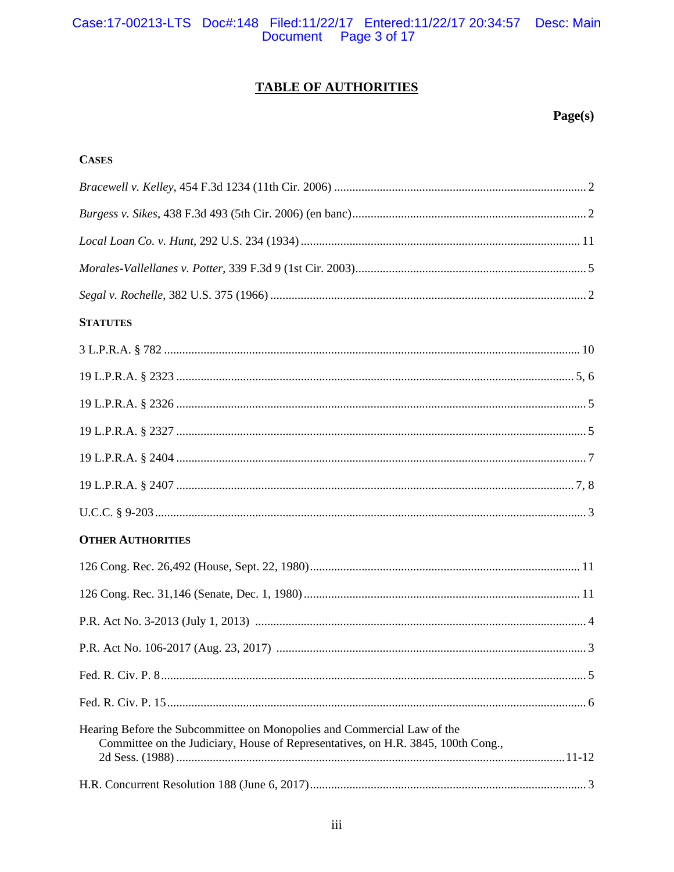# Case:17-00213-LTS Doc#:148 Filed:11/22/17 Entered:11/22/17 20:34:57 Desc: Main<br>Document Page 3 of 17

# **TABLE OF AUTHORITIES**

# $Page(s)$

| <b>CASES</b>                                                                                                                                                |  |
|-------------------------------------------------------------------------------------------------------------------------------------------------------------|--|
|                                                                                                                                                             |  |
|                                                                                                                                                             |  |
|                                                                                                                                                             |  |
|                                                                                                                                                             |  |
|                                                                                                                                                             |  |
| <b>STATUTES</b>                                                                                                                                             |  |
|                                                                                                                                                             |  |
|                                                                                                                                                             |  |
|                                                                                                                                                             |  |
|                                                                                                                                                             |  |
|                                                                                                                                                             |  |
|                                                                                                                                                             |  |
|                                                                                                                                                             |  |
| <b>OTHER AUTHORITIES</b>                                                                                                                                    |  |
|                                                                                                                                                             |  |
|                                                                                                                                                             |  |
|                                                                                                                                                             |  |
|                                                                                                                                                             |  |
|                                                                                                                                                             |  |
|                                                                                                                                                             |  |
| Hearing Before the Subcommittee on Monopolies and Commercial Law of the<br>Committee on the Judiciary, House of Representatives, on H.R. 3845, 100th Cong., |  |
|                                                                                                                                                             |  |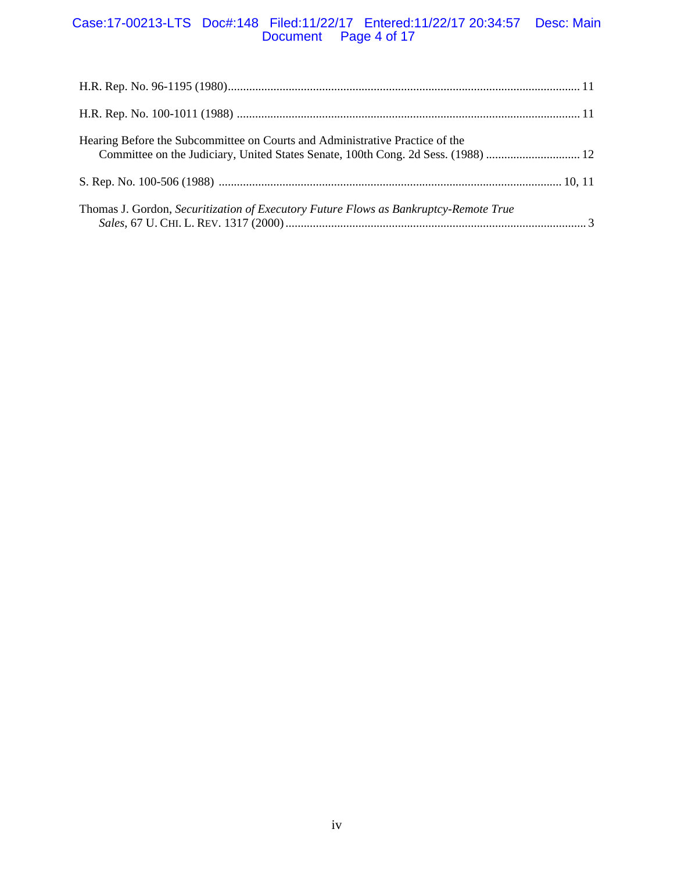# Case:17-00213-LTS Doc#:148 Filed:11/22/17 Entered:11/22/17 20:34:57 Desc: Main Document Page 4 of 17

| Hearing Before the Subcommittee on Courts and Administrative Practice of the         |  |
|--------------------------------------------------------------------------------------|--|
|                                                                                      |  |
| Thomas J. Gordon, Securitization of Executory Future Flows as Bankruptcy-Remote True |  |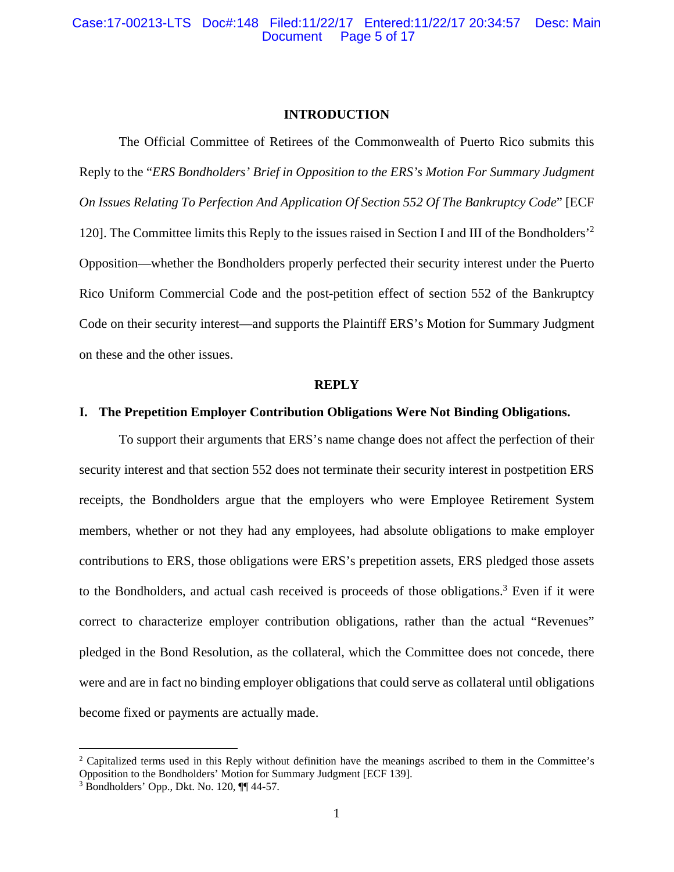#### **INTRODUCTION**

The Official Committee of Retirees of the Commonwealth of Puerto Rico submits this Reply to the "*ERS Bondholders' Brief in Opposition to the ERS's Motion For Summary Judgment On Issues Relating To Perfection And Application Of Section 552 Of The Bankruptcy Code*" [ECF 120]. The Committee limits this Reply to the issues raised in Section I and III of the Bondholders'2 Opposition—whether the Bondholders properly perfected their security interest under the Puerto Rico Uniform Commercial Code and the post-petition effect of section 552 of the Bankruptcy Code on their security interest—and supports the Plaintiff ERS's Motion for Summary Judgment on these and the other issues.

#### **REPLY**

## **I. The Prepetition Employer Contribution Obligations Were Not Binding Obligations.**

To support their arguments that ERS's name change does not affect the perfection of their security interest and that section 552 does not terminate their security interest in postpetition ERS receipts, the Bondholders argue that the employers who were Employee Retirement System members, whether or not they had any employees, had absolute obligations to make employer contributions to ERS, those obligations were ERS's prepetition assets, ERS pledged those assets to the Bondholders, and actual cash received is proceeds of those obligations.<sup>3</sup> Even if it were correct to characterize employer contribution obligations, rather than the actual "Revenues" pledged in the Bond Resolution, as the collateral, which the Committee does not concede, there were and are in fact no binding employer obligations that could serve as collateral until obligations become fixed or payments are actually made.

<sup>&</sup>lt;sup>2</sup> Capitalized terms used in this Reply without definition have the meanings ascribed to them in the Committee's Opposition to the Bondholders' Motion for Summary Judgment [ECF 139].

 $3$  Bondholders' Opp., Dkt. No. 120,  $\P\P$  44-57.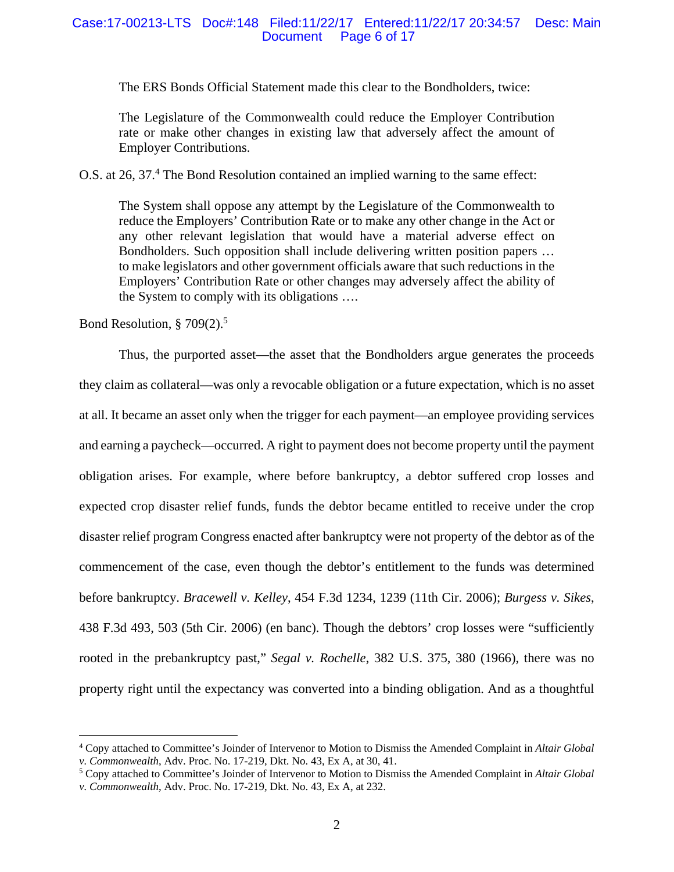#### Case:17-00213-LTS Doc#:148 Filed:11/22/17 Entered:11/22/17 20:34:57 Desc: Main Page 6 of 17

The ERS Bonds Official Statement made this clear to the Bondholders, twice:

The Legislature of the Commonwealth could reduce the Employer Contribution rate or make other changes in existing law that adversely affect the amount of Employer Contributions.

O.S. at 26, 37.<sup>4</sup> The Bond Resolution contained an implied warning to the same effect:

The System shall oppose any attempt by the Legislature of the Commonwealth to reduce the Employers' Contribution Rate or to make any other change in the Act or any other relevant legislation that would have a material adverse effect on Bondholders. Such opposition shall include delivering written position papers … to make legislators and other government officials aware that such reductions in the Employers' Contribution Rate or other changes may adversely affect the ability of the System to comply with its obligations ….

Bond Resolution, § 709(2).5

 $\overline{a}$ 

Thus, the purported asset—the asset that the Bondholders argue generates the proceeds they claim as collateral—was only a revocable obligation or a future expectation, which is no asset at all. It became an asset only when the trigger for each payment—an employee providing services and earning a paycheck—occurred. A right to payment does not become property until the payment obligation arises. For example, where before bankruptcy, a debtor suffered crop losses and expected crop disaster relief funds, funds the debtor became entitled to receive under the crop disaster relief program Congress enacted after bankruptcy were not property of the debtor as of the commencement of the case, even though the debtor's entitlement to the funds was determined before bankruptcy. *Bracewell v. Kelley*, 454 F.3d 1234, 1239 (11th Cir. 2006); *Burgess v. Sikes*, 438 F.3d 493, 503 (5th Cir. 2006) (en banc). Though the debtors' crop losses were "sufficiently rooted in the prebankruptcy past," *Segal v. Rochelle*, 382 U.S. 375, 380 (1966), there was no property right until the expectancy was converted into a binding obligation. And as a thoughtful

<sup>4</sup> Copy attached to Committee's Joinder of Intervenor to Motion to Dismiss the Amended Complaint in *Altair Global v. Commonwealth*, Adv. Proc. No. 17-219, Dkt. No. 43, Ex A, at 30, 41. 5

Copy attached to Committee's Joinder of Intervenor to Motion to Dismiss the Amended Complaint in *Altair Global v. Commonwealth*, Adv. Proc. No. 17-219, Dkt. No. 43, Ex A, at 232.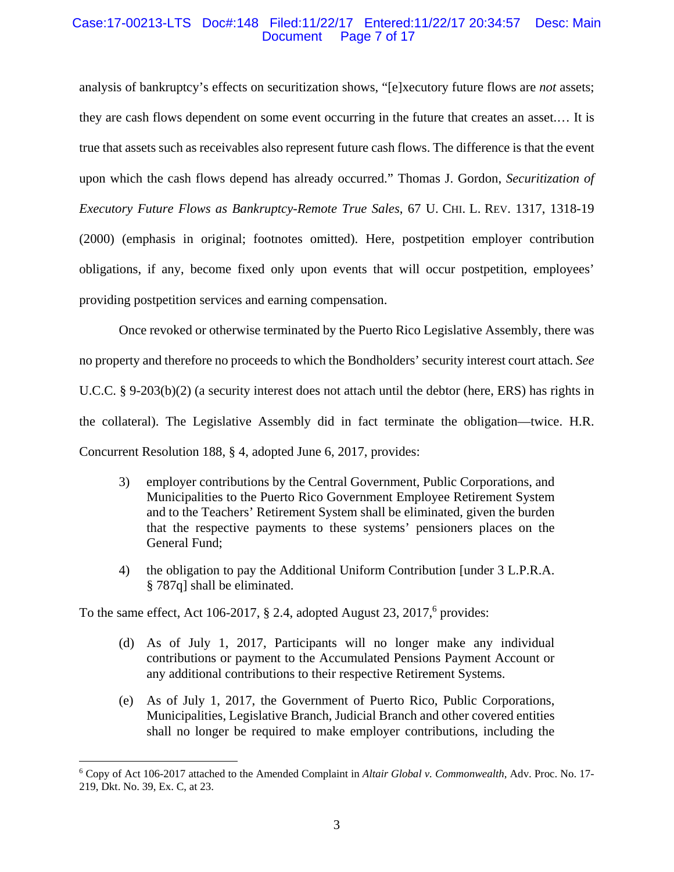#### Case:17-00213-LTS Doc#:148 Filed:11/22/17 Entered:11/22/17 20:34:57 Desc: Main Page 7 of 17

analysis of bankruptcy's effects on securitization shows, "[e]xecutory future flows are *not* assets; they are cash flows dependent on some event occurring in the future that creates an asset.… It is true that assets such as receivables also represent future cash flows. The difference is that the event upon which the cash flows depend has already occurred." Thomas J. Gordon, *Securitization of Executory Future Flows as Bankruptcy-Remote True Sales*, 67 U. CHI. L. REV. 1317, 1318-19 (2000) (emphasis in original; footnotes omitted). Here, postpetition employer contribution obligations, if any, become fixed only upon events that will occur postpetition, employees' providing postpetition services and earning compensation.

Once revoked or otherwise terminated by the Puerto Rico Legislative Assembly, there was no property and therefore no proceeds to which the Bondholders' security interest court attach. *See* U.C.C. § 9-203(b)(2) (a security interest does not attach until the debtor (here, ERS) has rights in the collateral). The Legislative Assembly did in fact terminate the obligation—twice. H.R. Concurrent Resolution 188, § 4, adopted June 6, 2017, provides:

- 3) employer contributions by the Central Government, Public Corporations, and Municipalities to the Puerto Rico Government Employee Retirement System and to the Teachers' Retirement System shall be eliminated, given the burden that the respective payments to these systems' pensioners places on the General Fund;
- 4) the obligation to pay the Additional Uniform Contribution [under 3 L.P.R.A. § 787q] shall be eliminated.

To the same effect, Act 106-2017,  $\S$  2.4, adopted August 23, 2017,<sup>6</sup> provides:

- (d) As of July 1, 2017, Participants will no longer make any individual contributions or payment to the Accumulated Pensions Payment Account or any additional contributions to their respective Retirement Systems.
- (e) As of July 1, 2017, the Government of Puerto Rico, Public Corporations, Municipalities, Legislative Branch, Judicial Branch and other covered entities shall no longer be required to make employer contributions, including the

<sup>6</sup> Copy of Act 106-2017 attached to the Amended Complaint in *Altair Global v. Commonwealth*, Adv. Proc. No. 17- 219, Dkt. No. 39, Ex. C, at 23.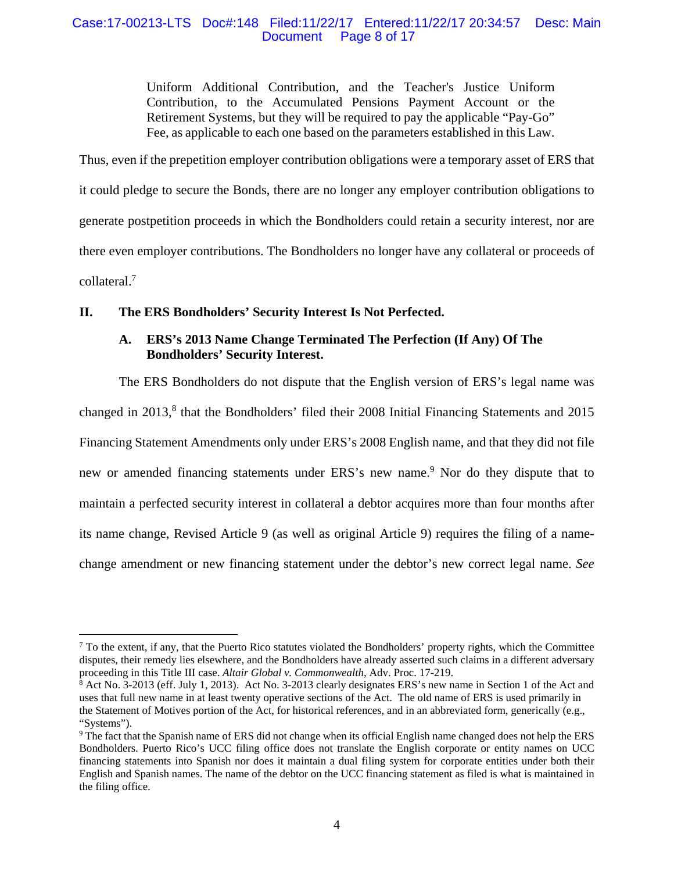## Case:17-00213-LTS Doc#:148 Filed:11/22/17 Entered:11/22/17 20:34:57 Desc: Main Document Page 8 of 17

Uniform Additional Contribution, and the Teacher's Justice Uniform Contribution, to the Accumulated Pensions Payment Account or the Retirement Systems, but they will be required to pay the applicable "Pay-Go" Fee, as applicable to each one based on the parameters established in this Law.

Thus, even if the prepetition employer contribution obligations were a temporary asset of ERS that it could pledge to secure the Bonds, there are no longer any employer contribution obligations to generate postpetition proceeds in which the Bondholders could retain a security interest, nor are there even employer contributions. The Bondholders no longer have any collateral or proceeds of collateral.7

# **II. The ERS Bondholders' Security Interest Is Not Perfected.**

 $\overline{a}$ 

# **A. ERS's 2013 Name Change Terminated The Perfection (If Any) Of The Bondholders' Security Interest.**

The ERS Bondholders do not dispute that the English version of ERS's legal name was changed in 2013,<sup>8</sup> that the Bondholders' filed their 2008 Initial Financing Statements and 2015 Financing Statement Amendments only under ERS's 2008 English name, and that they did not file new or amended financing statements under ERS's new name.<sup>9</sup> Nor do they dispute that to maintain a perfected security interest in collateral a debtor acquires more than four months after its name change, Revised Article 9 (as well as original Article 9) requires the filing of a namechange amendment or new financing statement under the debtor's new correct legal name. *See*

 $<sup>7</sup>$  To the extent, if any, that the Puerto Rico statutes violated the Bondholders' property rights, which the Committee</sup> disputes, their remedy lies elsewhere, and the Bondholders have already asserted such claims in a different adversary proceeding in this Title III case. *Altair Global v. Commonwealth*, Adv. Proc. 17-219. 8

<sup>&</sup>lt;sup>8</sup> Act No. 3-2013 (eff. July 1, 2013). Act No. 3-2013 clearly designates ERS's new name in Section 1 of the Act and uses that full new name in at least twenty operative sections of the Act. The old name of ERS is used primarily in the Statement of Motives portion of the Act, for historical references, and in an abbreviated form, generically (e.g., "Systems").

<sup>9</sup> The fact that the Spanish name of ERS did not change when its official English name changed does not help the ERS Bondholders. Puerto Rico's UCC filing office does not translate the English corporate or entity names on UCC financing statements into Spanish nor does it maintain a dual filing system for corporate entities under both their English and Spanish names. The name of the debtor on the UCC financing statement as filed is what is maintained in the filing office.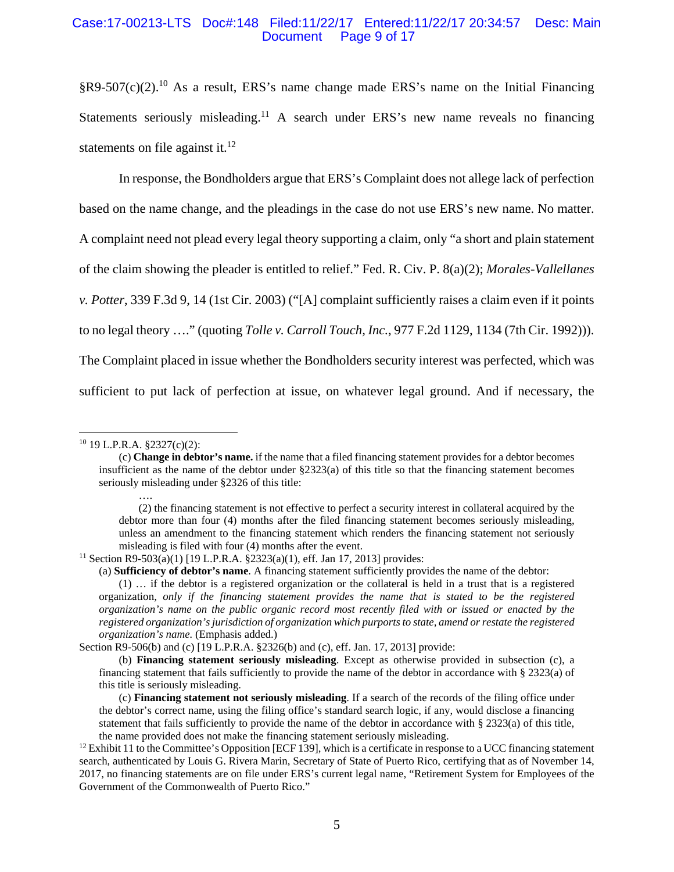#### Case:17-00213-LTS Doc#:148 Filed:11/22/17 Entered:11/22/17 20:34:57 Desc: Main Page 9 of 17

 $\S R9-507(c)(2).$ <sup>10</sup> As a result, ERS's name change made ERS's name on the Initial Financing Statements seriously misleading.<sup>11</sup> A search under ERS's new name reveals no financing statements on file against it. $^{12}$ 

In response, the Bondholders argue that ERS's Complaint does not allege lack of perfection based on the name change, and the pleadings in the case do not use ERS's new name. No matter. A complaint need not plead every legal theory supporting a claim, only "a short and plain statement of the claim showing the pleader is entitled to relief." Fed. R. Civ. P. 8(a)(2); *Morales-Vallellanes v. Potter*, 339 F.3d 9, 14 (1st Cir. 2003) ("[A] complaint sufficiently raises a claim even if it points to no legal theory …." (quoting *Tolle v. Carroll Touch, Inc.*, 977 F.2d 1129, 1134 (7th Cir. 1992))). The Complaint placed in issue whether the Bondholders security interest was perfected, which was sufficient to put lack of perfection at issue, on whatever legal ground. And if necessary, the

….

<sup>10 19</sup> L.P.R.A. §2327(c)(2):

<sup>(</sup>c) **Change in debtor's name.** if the name that a filed financing statement provides for a debtor becomes insufficient as the name of the debtor under §2323(a) of this title so that the financing statement becomes seriously misleading under §2326 of this title:

<sup>(2)</sup> the financing statement is not effective to perfect a security interest in collateral acquired by the debtor more than four (4) months after the filed financing statement becomes seriously misleading, unless an amendment to the financing statement which renders the financing statement not seriously misleading is filed with four (4) months after the event.<br><sup>11</sup> Section R9-503(a)(1) [19 L.P.R.A. §2323(a)(1), eff. Jan 17, 2013] provides:

<sup>(</sup>a) **Sufficiency of debtor's name**. A financing statement sufficiently provides the name of the debtor:

<sup>(1) …</sup> if the debtor is a registered organization or the collateral is held in a trust that is a registered organization, *only if the financing statement provides the name that is stated to be the registered organization's name on the public organic record most recently filed with or issued or enacted by the registered organization's jurisdiction of organization which purports to state, amend or restate the registered organization's name.* (Emphasis added.)

Section R9-506(b) and (c) [19 L.P.R.A. §2326(b) and (c), eff. Jan. 17, 2013] provide:

<sup>(</sup>b) **Financing statement seriously misleading**. Except as otherwise provided in subsection (c), a financing statement that fails sufficiently to provide the name of the debtor in accordance with § 2323(a) of this title is seriously misleading.

<sup>(</sup>c) **Financing statement not seriously misleading**. If a search of the records of the filing office under the debtor's correct name, using the filing office's standard search logic, if any, would disclose a financing statement that fails sufficiently to provide the name of the debtor in accordance with § 2323(a) of this title,

the name provided does not make the financing statement seriously misleading.<br><sup>12</sup> Exhibit 11 to the Committee's Opposition [ECF 139], which is a certificate in response to a UCC financing statement search, authenticated by Louis G. Rivera Marin, Secretary of State of Puerto Rico, certifying that as of November 14, 2017, no financing statements are on file under ERS's current legal name, "Retirement System for Employees of the Government of the Commonwealth of Puerto Rico."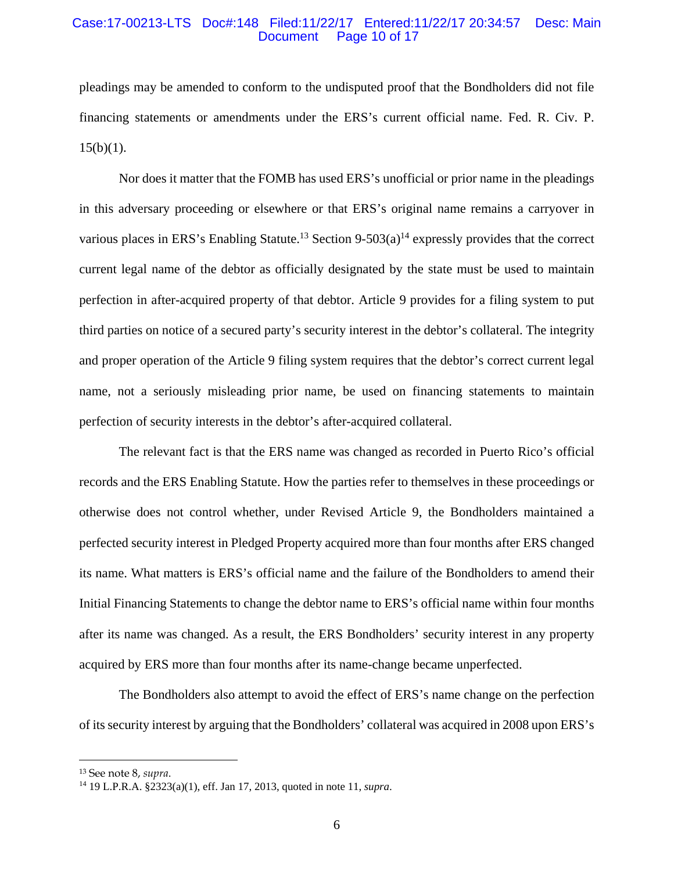#### Case:17-00213-LTS Doc#:148 Filed:11/22/17 Entered:11/22/17 20:34:57 Desc: Main Page 10 of 17

pleadings may be amended to conform to the undisputed proof that the Bondholders did not file financing statements or amendments under the ERS's current official name. Fed. R. Civ. P.  $15(b)(1)$ .

Nor does it matter that the FOMB has used ERS's unofficial or prior name in the pleadings in this adversary proceeding or elsewhere or that ERS's original name remains a carryover in various places in ERS's Enabling Statute.<sup>13</sup> Section 9-503(a)<sup>14</sup> expressly provides that the correct current legal name of the debtor as officially designated by the state must be used to maintain perfection in after-acquired property of that debtor. Article 9 provides for a filing system to put third parties on notice of a secured party's security interest in the debtor's collateral. The integrity and proper operation of the Article 9 filing system requires that the debtor's correct current legal name, not a seriously misleading prior name, be used on financing statements to maintain perfection of security interests in the debtor's after-acquired collateral.

The relevant fact is that the ERS name was changed as recorded in Puerto Rico's official records and the ERS Enabling Statute. How the parties refer to themselves in these proceedings or otherwise does not control whether, under Revised Article 9, the Bondholders maintained a perfected security interest in Pledged Property acquired more than four months after ERS changed its name. What matters is ERS's official name and the failure of the Bondholders to amend their Initial Financing Statements to change the debtor name to ERS's official name within four months after its name was changed. As a result, the ERS Bondholders' security interest in any property acquired by ERS more than four months after its name-change became unperfected.

The Bondholders also attempt to avoid the effect of ERS's name change on the perfection of its security interest by arguing that the Bondholders' collateral was acquired in 2008 upon ERS's

<sup>13</sup> See note 8, *supra*.

<sup>14 19</sup> L.P.R.A. §2323(a)(1), eff. Jan 17, 2013, quoted in note 11, *supra*.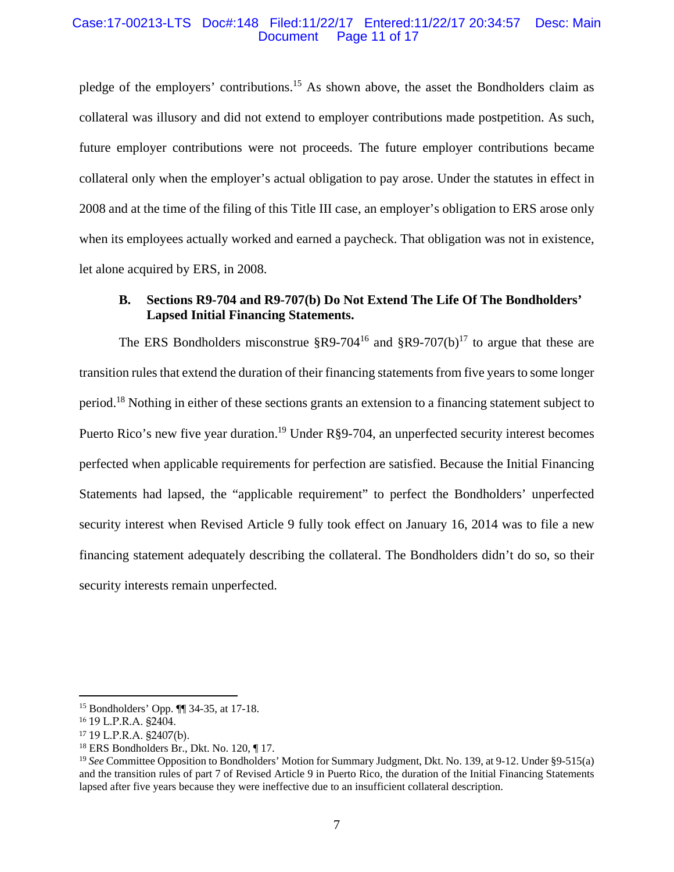#### Case:17-00213-LTS Doc#:148 Filed:11/22/17 Entered:11/22/17 20:34:57 Desc: Main Page 11 of 17

pledge of the employers' contributions.15 As shown above, the asset the Bondholders claim as collateral was illusory and did not extend to employer contributions made postpetition. As such, future employer contributions were not proceeds. The future employer contributions became collateral only when the employer's actual obligation to pay arose. Under the statutes in effect in 2008 and at the time of the filing of this Title III case, an employer's obligation to ERS arose only when its employees actually worked and earned a paycheck. That obligation was not in existence, let alone acquired by ERS, in 2008.

# **B. Sections R9-704 and R9-707(b) Do Not Extend The Life Of The Bondholders' Lapsed Initial Financing Statements.**

The ERS Bondholders misconstrue  $\S R9-704^{16}$  and  $\S R9-707(b)^{17}$  to argue that these are transition rules that extend the duration of their financing statements from five years to some longer period.18 Nothing in either of these sections grants an extension to a financing statement subject to Puerto Rico's new five year duration.<sup>19</sup> Under R§9-704, an unperfected security interest becomes perfected when applicable requirements for perfection are satisfied. Because the Initial Financing Statements had lapsed, the "applicable requirement" to perfect the Bondholders' unperfected security interest when Revised Article 9 fully took effect on January 16, 2014 was to file a new financing statement adequately describing the collateral. The Bondholders didn't do so, so their security interests remain unperfected.

<sup>15</sup> Bondholders' Opp. ¶¶ 34-35, at 17-18.

<sup>16 19</sup> L.P.R.A. §2404.

<sup>17 19</sup> L.P.R.A. §2407(b).

<sup>18</sup> ERS Bondholders Br., Dkt. No. 120, ¶ 17.

<sup>19</sup> *See* Committee Opposition to Bondholders' Motion for Summary Judgment, Dkt. No. 139, at 9-12. Under §9-515(a) and the transition rules of part 7 of Revised Article 9 in Puerto Rico, the duration of the Initial Financing Statements lapsed after five years because they were ineffective due to an insufficient collateral description.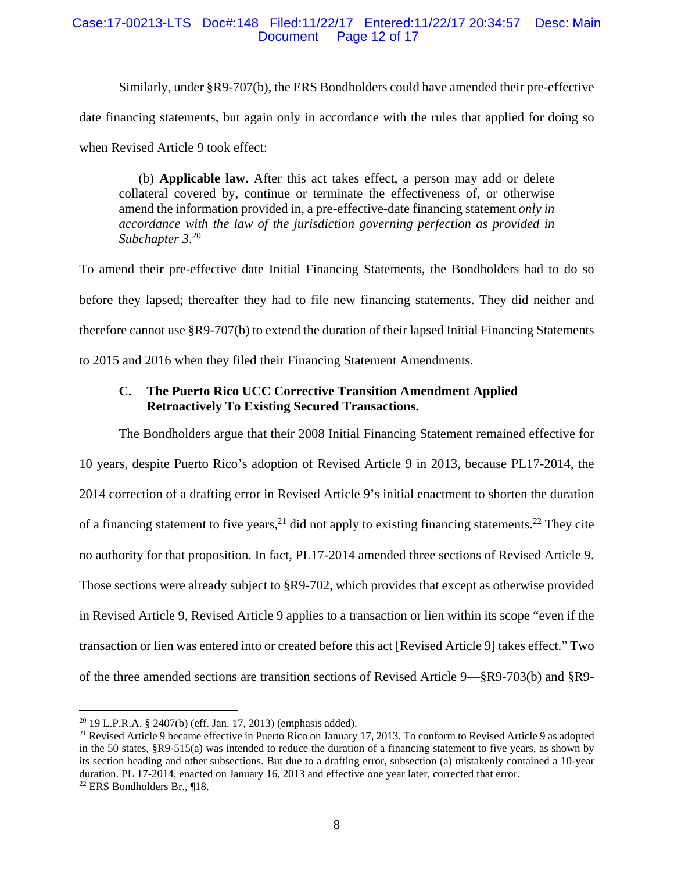## Case:17-00213-LTS Doc#:148 Filed:11/22/17 Entered:11/22/17 20:34:57 Desc: Main Page 12 of 17

Similarly, under §R9-707(b), the ERS Bondholders could have amended their pre-effective date financing statements, but again only in accordance with the rules that applied for doing so when Revised Article 9 took effect:

(b) **Applicable law.** After this act takes effect, a person may add or delete collateral covered by, continue or terminate the effectiveness of, or otherwise amend the information provided in, a pre-effective-date financing statement *only in accordance with the law of the jurisdiction governing perfection as provided in Subchapter 3*. 20

To amend their pre-effective date Initial Financing Statements, the Bondholders had to do so before they lapsed; thereafter they had to file new financing statements. They did neither and therefore cannot use §R9-707(b) to extend the duration of their lapsed Initial Financing Statements to 2015 and 2016 when they filed their Financing Statement Amendments.

# **C. The Puerto Rico UCC Corrective Transition Amendment Applied Retroactively To Existing Secured Transactions.**

The Bondholders argue that their 2008 Initial Financing Statement remained effective for 10 years, despite Puerto Rico's adoption of Revised Article 9 in 2013, because PL17-2014, the 2014 correction of a drafting error in Revised Article 9's initial enactment to shorten the duration of a financing statement to five years,  $21$  did not apply to existing financing statements.  $22$  They cite no authority for that proposition. In fact, PL17-2014 amended three sections of Revised Article 9. Those sections were already subject to §R9-702, which provides that except as otherwise provided in Revised Article 9, Revised Article 9 applies to a transaction or lien within its scope "even if the transaction or lien was entered into or created before this act [Revised Article 9] takes effect." Two of the three amended sections are transition sections of Revised Article 9—§R9-703(b) and §R9-

<sup>20 19</sup> L.P.R.A. § 2407(b) (eff. Jan. 17, 2013) (emphasis added).

<sup>&</sup>lt;sup>21</sup> Revised Article 9 became effective in Puerto Rico on January 17, 2013. To conform to Revised Article 9 as adopted in the 50 states, §R9-515(a) was intended to reduce the duration of a financing statement to five years, as shown by its section heading and other subsections. But due to a drafting error, subsection (a) mistakenly contained a 10-year duration. PL 17-2014, enacted on January 16, 2013 and effective one year later, corrected that error. <sup>22</sup> ERS Bondholders Br., ¶18.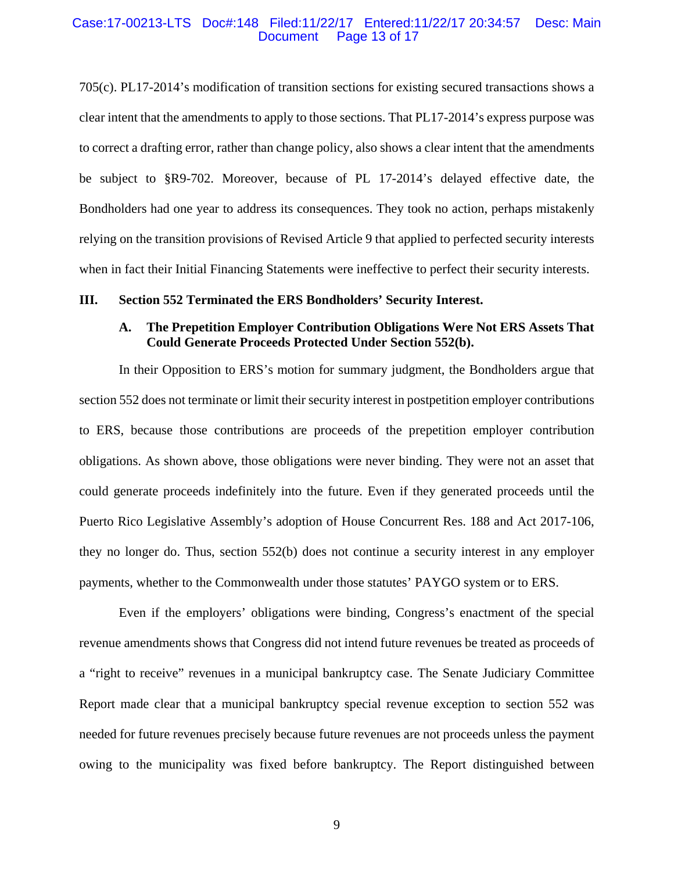#### Case:17-00213-LTS Doc#:148 Filed:11/22/17 Entered:11/22/17 20:34:57 Desc: Main Page 13 of 17

705(c). PL17-2014's modification of transition sections for existing secured transactions shows a clear intent that the amendments to apply to those sections. That PL17-2014's express purpose was to correct a drafting error, rather than change policy, also shows a clear intent that the amendments be subject to §R9-702. Moreover, because of PL 17-2014's delayed effective date, the Bondholders had one year to address its consequences. They took no action, perhaps mistakenly relying on the transition provisions of Revised Article 9 that applied to perfected security interests when in fact their Initial Financing Statements were ineffective to perfect their security interests.

#### **III. Section 552 Terminated the ERS Bondholders' Security Interest.**

## **A. The Prepetition Employer Contribution Obligations Were Not ERS Assets That Could Generate Proceeds Protected Under Section 552(b).**

In their Opposition to ERS's motion for summary judgment, the Bondholders argue that section 552 does not terminate or limit their security interest in postpetition employer contributions to ERS, because those contributions are proceeds of the prepetition employer contribution obligations. As shown above, those obligations were never binding. They were not an asset that could generate proceeds indefinitely into the future. Even if they generated proceeds until the Puerto Rico Legislative Assembly's adoption of House Concurrent Res. 188 and Act 2017-106, they no longer do. Thus, section 552(b) does not continue a security interest in any employer payments, whether to the Commonwealth under those statutes' PAYGO system or to ERS.

Even if the employers' obligations were binding, Congress's enactment of the special revenue amendments shows that Congress did not intend future revenues be treated as proceeds of a "right to receive" revenues in a municipal bankruptcy case. The Senate Judiciary Committee Report made clear that a municipal bankruptcy special revenue exception to section 552 was needed for future revenues precisely because future revenues are not proceeds unless the payment owing to the municipality was fixed before bankruptcy. The Report distinguished between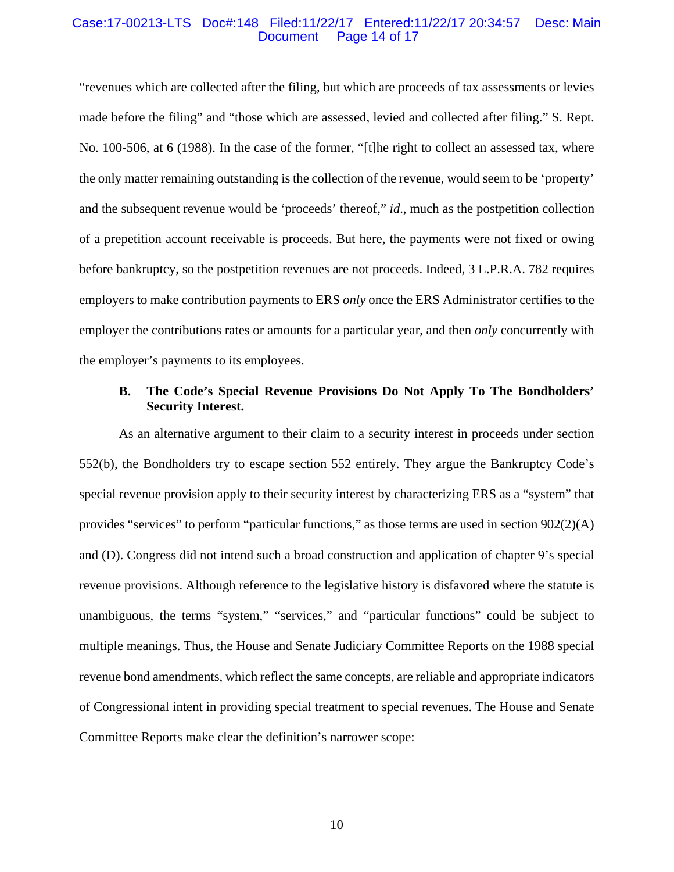#### Case:17-00213-LTS Doc#:148 Filed:11/22/17 Entered:11/22/17 20:34:57 Desc: Main Page 14 of 17

"revenues which are collected after the filing, but which are proceeds of tax assessments or levies made before the filing" and "those which are assessed, levied and collected after filing." S. Rept. No. 100-506, at 6 (1988). In the case of the former, "[t]he right to collect an assessed tax, where the only matter remaining outstanding is the collection of the revenue, would seem to be 'property' and the subsequent revenue would be 'proceeds' thereof," *id*., much as the postpetition collection of a prepetition account receivable is proceeds. But here, the payments were not fixed or owing before bankruptcy, so the postpetition revenues are not proceeds. Indeed, 3 L.P.R.A. 782 requires employers to make contribution payments to ERS *only* once the ERS Administrator certifies to the employer the contributions rates or amounts for a particular year, and then *only* concurrently with the employer's payments to its employees.

# **B. The Code's Special Revenue Provisions Do Not Apply To The Bondholders' Security Interest.**

As an alternative argument to their claim to a security interest in proceeds under section 552(b), the Bondholders try to escape section 552 entirely. They argue the Bankruptcy Code's special revenue provision apply to their security interest by characterizing ERS as a "system" that provides "services" to perform "particular functions," as those terms are used in section  $902(2)(A)$ and (D). Congress did not intend such a broad construction and application of chapter 9's special revenue provisions. Although reference to the legislative history is disfavored where the statute is unambiguous, the terms "system," "services," and "particular functions" could be subject to multiple meanings. Thus, the House and Senate Judiciary Committee Reports on the 1988 special revenue bond amendments, which reflect the same concepts, are reliable and appropriate indicators of Congressional intent in providing special treatment to special revenues. The House and Senate Committee Reports make clear the definition's narrower scope: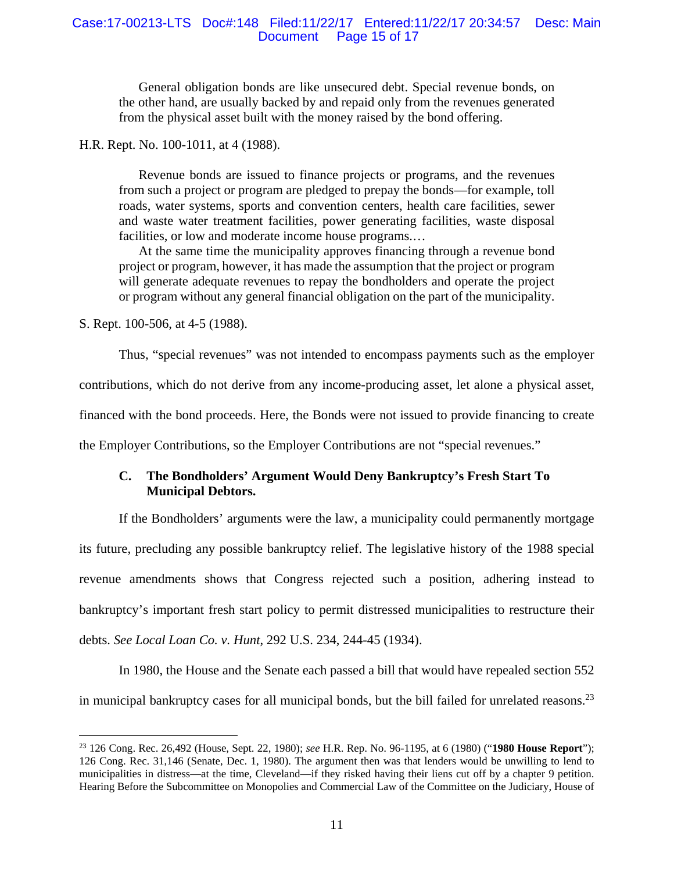#### Case:17-00213-LTS Doc#:148 Filed:11/22/17 Entered:11/22/17 20:34:57 Desc: Main Page 15 of 17

General obligation bonds are like unsecured debt. Special revenue bonds, on the other hand, are usually backed by and repaid only from the revenues generated from the physical asset built with the money raised by the bond offering.

H.R. Rept. No. 100-1011, at 4 (1988).

Revenue bonds are issued to finance projects or programs, and the revenues from such a project or program are pledged to prepay the bonds—for example, toll roads, water systems, sports and convention centers, health care facilities, sewer and waste water treatment facilities, power generating facilities, waste disposal facilities, or low and moderate income house programs....

At the same time the municipality approves financing through a revenue bond project or program, however, it has made the assumption that the project or program will generate adequate revenues to repay the bondholders and operate the project or program without any general financial obligation on the part of the municipality.

S. Rept. 100-506, at 4-5 (1988).

 $\overline{a}$ 

Thus, "special revenues" was not intended to encompass payments such as the employer

contributions, which do not derive from any income-producing asset, let alone a physical asset,

financed with the bond proceeds. Here, the Bonds were not issued to provide financing to create

the Employer Contributions, so the Employer Contributions are not "special revenues."

# **C. The Bondholders' Argument Would Deny Bankruptcy's Fresh Start To Municipal Debtors.**

If the Bondholders' arguments were the law, a municipality could permanently mortgage its future, precluding any possible bankruptcy relief. The legislative history of the 1988 special revenue amendments shows that Congress rejected such a position, adhering instead to bankruptcy's important fresh start policy to permit distressed municipalities to restructure their debts. *See Local Loan Co. v. Hunt*, 292 U.S. 234, 244-45 (1934).

In 1980, the House and the Senate each passed a bill that would have repealed section 552 in municipal bankruptcy cases for all municipal bonds, but the bill failed for unrelated reasons.<sup>23</sup>

<sup>23 126</sup> Cong. Rec. 26,492 (House, Sept. 22, 1980); *see* H.R. Rep. No. 96-1195, at 6 (1980) ("**1980 House Report**"); 126 Cong. Rec. 31,146 (Senate, Dec. 1, 1980). The argument then was that lenders would be unwilling to lend to municipalities in distress—at the time, Cleveland—if they risked having their liens cut off by a chapter 9 petition. Hearing Before the Subcommittee on Monopolies and Commercial Law of the Committee on the Judiciary, House of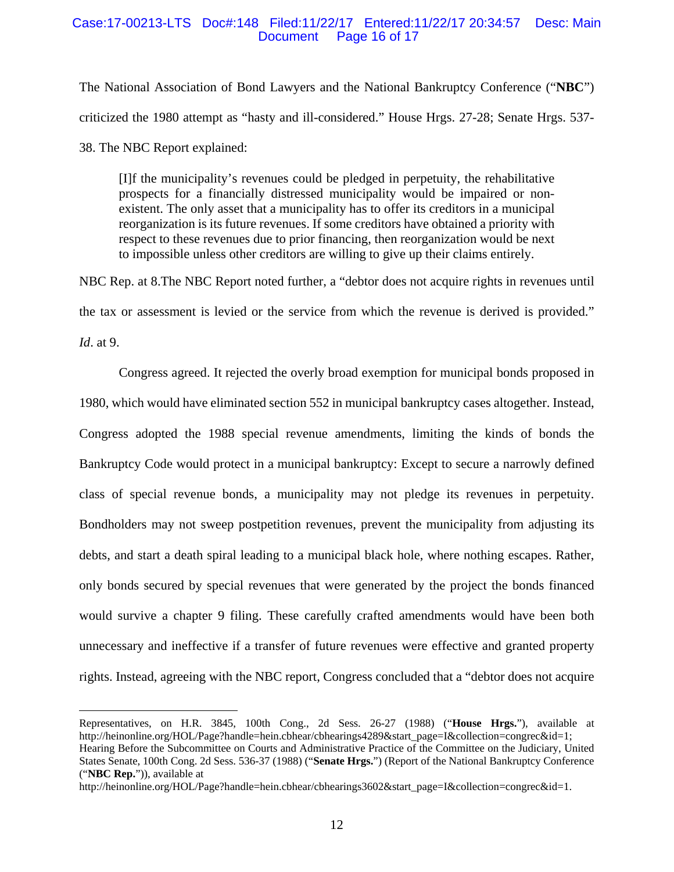#### Case:17-00213-LTS Doc#:148 Filed:11/22/17 Entered:11/22/17 20:34:57 Desc: Main Page 16 of 17

The National Association of Bond Lawyers and the National Bankruptcy Conference ("**NBC**") criticized the 1980 attempt as "hasty and ill-considered." House Hrgs. 27-28; Senate Hrgs. 537- 38. The NBC Report explained:

[I]f the municipality's revenues could be pledged in perpetuity, the rehabilitative prospects for a financially distressed municipality would be impaired or nonexistent. The only asset that a municipality has to offer its creditors in a municipal reorganization is its future revenues. If some creditors have obtained a priority with respect to these revenues due to prior financing, then reorganization would be next to impossible unless other creditors are willing to give up their claims entirely.

NBC Rep. at 8.The NBC Report noted further, a "debtor does not acquire rights in revenues until the tax or assessment is levied or the service from which the revenue is derived is provided." *Id*. at 9.

Congress agreed. It rejected the overly broad exemption for municipal bonds proposed in 1980, which would have eliminated section 552 in municipal bankruptcy cases altogether. Instead, Congress adopted the 1988 special revenue amendments, limiting the kinds of bonds the Bankruptcy Code would protect in a municipal bankruptcy: Except to secure a narrowly defined class of special revenue bonds, a municipality may not pledge its revenues in perpetuity. Bondholders may not sweep postpetition revenues, prevent the municipality from adjusting its debts, and start a death spiral leading to a municipal black hole, where nothing escapes. Rather, only bonds secured by special revenues that were generated by the project the bonds financed would survive a chapter 9 filing. These carefully crafted amendments would have been both unnecessary and ineffective if a transfer of future revenues were effective and granted property rights. Instead, agreeing with the NBC report, Congress concluded that a "debtor does not acquire

Representatives, on H.R. 3845, 100th Cong., 2d Sess. 26-27 (1988) ("**House Hrgs.**"), available at http://heinonline.org/HOL/Page?handle=hein.cbhear/cbhearings4289&start\_page=I&collection=congrec&id=1;

Hearing Before the Subcommittee on Courts and Administrative Practice of the Committee on the Judiciary, United States Senate, 100th Cong. 2d Sess. 536-37 (1988) ("**Senate Hrgs.**") (Report of the National Bankruptcy Conference ("**NBC Rep.**")), available at

http://heinonline.org/HOL/Page?handle=hein.cbhear/cbhearings3602&start\_page=I&collection=congrec&id=1.